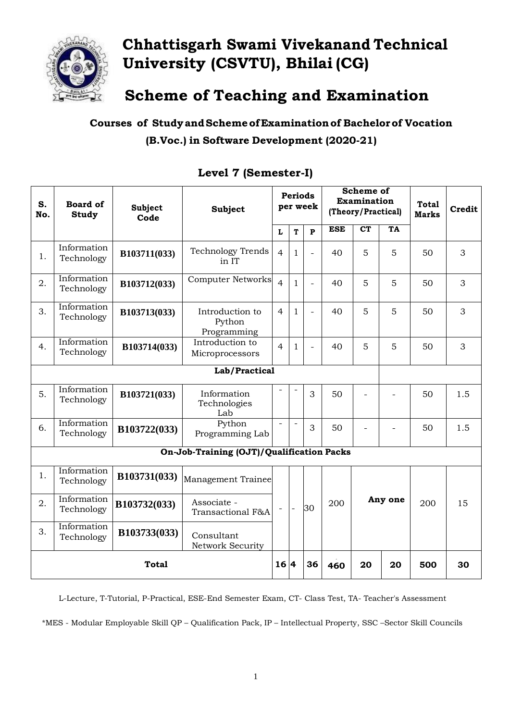

# **Chhattisgarh Swami Vivekanand Technical University (CSVTU), Bhilai (CG)**

**Scheme of Teaching and Examination**

**Courses of StudyandSchemeofExaminationof Bachelorof Vocation (B.Voc.) in Software Development (2020-21)**

| S.<br>No.                                 | <b>Board of</b><br><b>Study</b> | <b>Subject</b><br>Code | Subject                                  |                | <b>Periods</b>           | per week                 | <b>Scheme of</b><br>Examination<br>(Theory/Practical) |         |     | <b>Total</b><br><b>Marks</b> | Credit |
|-------------------------------------------|---------------------------------|------------------------|------------------------------------------|----------------|--------------------------|--------------------------|-------------------------------------------------------|---------|-----|------------------------------|--------|
|                                           |                                 |                        |                                          | L              | T                        | P                        | <b>ESE</b>                                            | CT      | TA  |                              |        |
| 1.                                        | Information<br>Technology       | B103711(033)           | <b>Technology Trends</b><br>in IT        | $\overline{4}$ | $\mathbf{1}$             | $\overline{\phantom{0}}$ | 40                                                    | 5       | 5   | 50                           | 3      |
| 2.                                        | Information<br>Technology       | B103712(033)           | <b>Computer Networks</b>                 | $\overline{4}$ | $\mathbf{1}$             | $\overline{a}$           | 40                                                    | 5       | 5   | 50                           | 3      |
| 3.                                        | Information<br>Technology       | B103713(033)           | Introduction to<br>Python<br>Programming | 4              | 1                        | $\overline{a}$           | 40                                                    | 5       | 5   | 50                           | 3      |
| 4.                                        | Information<br>Technology       | B103714(033)           | Introduction to<br>Microprocessors       | $\overline{4}$ | $\mathbf{1}$             | $\equiv$                 | 40                                                    | 5       | 5   | 50                           | 3      |
| Lab/Practical                             |                                 |                        |                                          |                |                          |                          |                                                       |         |     |                              |        |
| 5.                                        | Information<br>Technology       | B103721(033)           | Information<br>Technologies<br>Lab       |                |                          | 3                        | 50                                                    |         |     | 50                           | 1.5    |
| 6.                                        | Information<br>Technology       | B103722(033)           | Python<br>Programming Lab                | $\equiv$       | $\equiv$                 | 3                        | 50                                                    |         |     | 50                           | 1.5    |
| On-Job-Training (OJT)/Qualification Packs |                                 |                        |                                          |                |                          |                          |                                                       |         |     |                              |        |
| 1.                                        | Information<br>Technology       | B103731(033)           | Management Trainee                       |                |                          |                          |                                                       |         |     |                              |        |
| 2.                                        | Information<br>Technology       | B103732(033)           | Associate -<br>Transactional F&A         |                | $\overline{\phantom{a}}$ | 30                       | 200                                                   | Any one |     | 200                          | 15     |
| 3.                                        | Information<br>Technology       | B103733(033)           | Consultant<br>Network Security           |                |                          |                          |                                                       |         |     |                              |        |
| <b>Total</b>                              |                                 |                        | 16 4                                     |                | 36                       | 460                      | 20                                                    | 20      | 500 | 30                           |        |

### **Level 7 (Semester-I)**

L-Lecture, T-Tutorial, P-Practical, ESE-End Semester Exam, CT- Class Test, TA- Teacher's Assessment

\*MES - Modular Employable Skill QP – Qualification Pack, IP – Intellectual Property, SSC –Sector Skill Councils